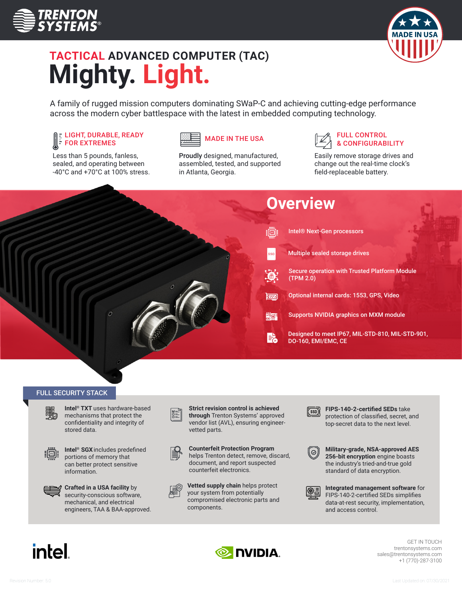



# **TACTICAL ADVANCED COMPUTER (TAC) Mighty. Light.**

A family of rugged mission computers dominating SWaP-C and achieving cutting-edge performance across the modern cyber battlespace with the latest in embedded computing technology.

### LIGHT, DURABLE, READY FOR EXTREMES

Less than 5 pounds, fanless, sealed, and operating between -40°C and +70°C at 100% stress.



Proudly designed, manufactured, assembled, tested, and supported in Atlanta, Georgia.



Easily remove storage drives and change out the real-time clock's field-replaceable battery.



### FULL SECURITY STACK

**Intel® TXT** uses hardware-based mechanisms that protect the confidentiality and integrity of stored data.



**Intel® SGX**includes predefined portions of memory that can better protect sensitive information.



**Crafted in a USA facility** by security-conscious software, mechanical, and electrical engineers, TAA & BAA-approved. **Strict revision control is achieved through** Trenton Systems' approved vendor list (AVL), ensuring engineervetted parts.



**Counterfeit Protection Program** helps Trenton detect, remove, discard, document, and report suspected counterfeit electronics.



**Vetted supply chain** helps protect your system from potentially compromised electronic parts and components.



**FIPS-140-2-certified SEDs** take protection of classified, secret, and top-secret data to the next level.



**Military-grade, NSA-approved AES 256-bit encryption** engine boasts the industry's tried-and-true gold standard of data encryption.



**Integrated management software** for FIPS-140-2-certified SEDs simplifies data-at-rest security, implementation, and access control.

# **intel**



GET IN TOUCH trentonsystems.com sales@trentonsystems.com +1 (770)-287-3100